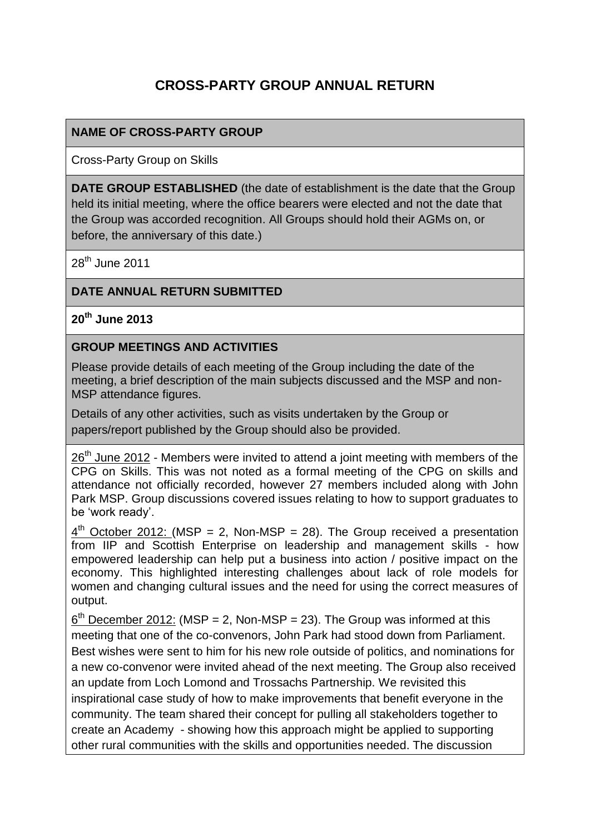# **CROSS-PARTY GROUP ANNUAL RETURN**

### **NAME OF CROSS-PARTY GROUP**

Cross-Party Group on Skills

**DATE GROUP ESTABLISHED** (the date of establishment is the date that the Group held its initial meeting, where the office bearers were elected and not the date that the Group was accorded recognition. All Groups should hold their AGMs on, or before, the anniversary of this date.)

 $28<sup>th</sup>$  June 2011

#### **DATE ANNUAL RETURN SUBMITTED**

**20th June 2013**

#### **GROUP MEETINGS AND ACTIVITIES**

Please provide details of each meeting of the Group including the date of the meeting, a brief description of the main subjects discussed and the MSP and non-MSP attendance figures.

Details of any other activities, such as visits undertaken by the Group or papers/report published by the Group should also be provided.

 $26<sup>th</sup>$  June 2012 - Members were invited to attend a joint meeting with members of the CPG on Skills. This was not noted as a formal meeting of the CPG on skills and attendance not officially recorded, however 27 members included along with John Park MSP. Group discussions covered issues relating to how to support graduates to be 'work ready'.

 $4<sup>th</sup>$  October 2012: (MSP = 2, Non-MSP = 28). The Group received a presentation from IIP and Scottish Enterprise on leadership and management skills - how empowered leadership can help put a business into action / positive impact on the economy. This highlighted interesting challenges about lack of role models for women and changing cultural issues and the need for using the correct measures of output.

 $6<sup>th</sup>$  December 2012: (MSP = 2, Non-MSP = 23). The Group was informed at this meeting that one of the co-convenors, John Park had stood down from Parliament. Best wishes were sent to him for his new role outside of politics, and nominations for a new co-convenor were invited ahead of the next meeting. The Group also received an update from Loch Lomond and Trossachs Partnership. We revisited this inspirational case study of how to make improvements that benefit everyone in the community. The team shared their concept for pulling all stakeholders together to create an Academy - showing how this approach might be applied to supporting other rural communities with the skills and opportunities needed. The discussion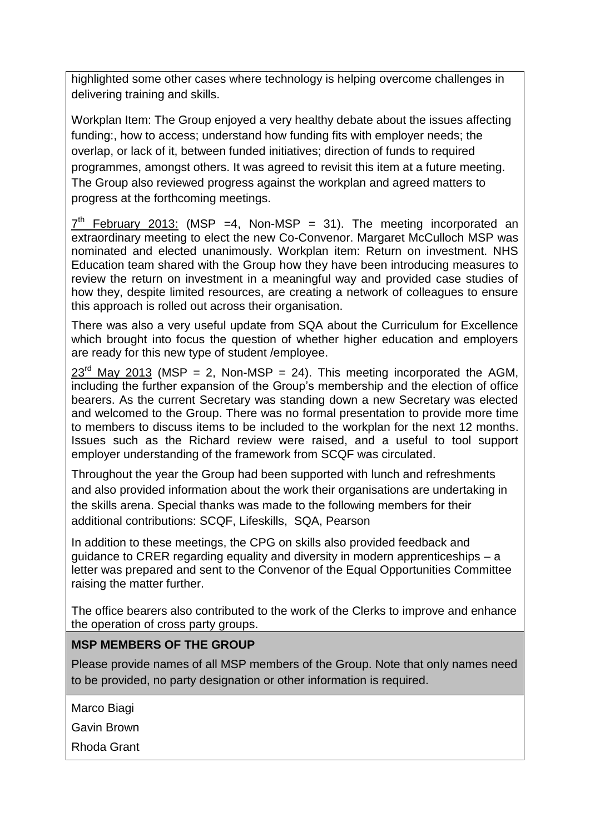highlighted some other cases where technology is helping overcome challenges in delivering training and skills.

Workplan Item: The Group enjoyed a very healthy debate about the issues affecting funding:, how to access; understand how funding fits with employer needs; the overlap, or lack of it, between funded initiatives; direction of funds to required programmes, amongst others. It was agreed to revisit this item at a future meeting. The Group also reviewed progress against the workplan and agreed matters to progress at the forthcoming meetings.

 $7<sup>th</sup>$  February 2013: (MSP =4, Non-MSP = 31). The meeting incorporated an extraordinary meeting to elect the new Co-Convenor. Margaret McCulloch MSP was nominated and elected unanimously. Workplan item: Return on investment. NHS Education team shared with the Group how they have been introducing measures to review the return on investment in a meaningful way and provided case studies of how they, despite limited resources, are creating a network of colleagues to ensure this approach is rolled out across their organisation.

There was also a very useful update from SQA about the Curriculum for Excellence which brought into focus the question of whether higher education and employers are ready for this new type of student /employee.

 $23<sup>rd</sup>$  May 2013 (MSP = 2, Non-MSP = 24). This meeting incorporated the AGM, including the further expansion of the Group's membership and the election of office bearers. As the current Secretary was standing down a new Secretary was elected and welcomed to the Group. There was no formal presentation to provide more time to members to discuss items to be included to the workplan for the next 12 months. Issues such as the Richard review were raised, and a useful to tool support employer understanding of the framework from SCQF was circulated.

Throughout the year the Group had been supported with lunch and refreshments and also provided information about the work their organisations are undertaking in the skills arena. Special thanks was made to the following members for their additional contributions: SCQF, Lifeskills, SQA, Pearson

In addition to these meetings, the CPG on skills also provided feedback and guidance to CRER regarding equality and diversity in modern apprenticeships – a letter was prepared and sent to the Convenor of the Equal Opportunities Committee raising the matter further.

The office bearers also contributed to the work of the Clerks to improve and enhance the operation of cross party groups.

#### **MSP MEMBERS OF THE GROUP**

Please provide names of all MSP members of the Group. Note that only names need to be provided, no party designation or other information is required.

Marco Biagi

Gavin Brown

Rhoda Grant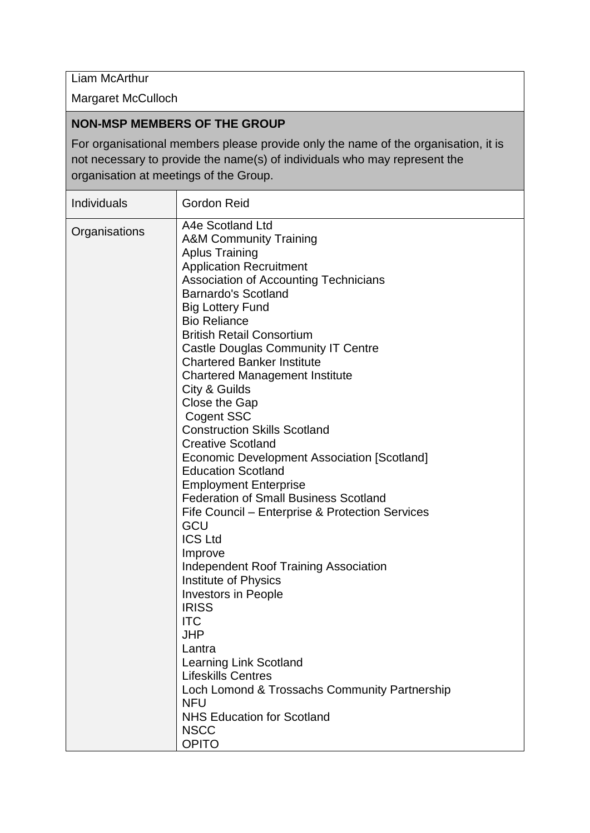Liam McArthur

Margaret McCulloch

#### **NON-MSP MEMBERS OF THE GROUP**

For organisational members please provide only the name of the organisation, it is not necessary to provide the name(s) of individuals who may represent the organisation at meetings of the Group.

| <b>Individuals</b> | Gordon Reid                                                                                                                                                                                                                                                                                                                                                                                                                                                                                                                                                                                                                                                                                                                                                                                                                                                                                                                                                                                                                                                                                                                                        |
|--------------------|----------------------------------------------------------------------------------------------------------------------------------------------------------------------------------------------------------------------------------------------------------------------------------------------------------------------------------------------------------------------------------------------------------------------------------------------------------------------------------------------------------------------------------------------------------------------------------------------------------------------------------------------------------------------------------------------------------------------------------------------------------------------------------------------------------------------------------------------------------------------------------------------------------------------------------------------------------------------------------------------------------------------------------------------------------------------------------------------------------------------------------------------------|
| Organisations      | A4e Scotland Ltd<br><b>A&amp;M Community Training</b><br><b>Aplus Training</b><br><b>Application Recruitment</b><br>Association of Accounting Technicians<br><b>Barnardo's Scotland</b><br><b>Big Lottery Fund</b><br><b>Bio Reliance</b><br><b>British Retail Consortium</b><br><b>Castle Douglas Community IT Centre</b><br><b>Chartered Banker Institute</b><br><b>Chartered Management Institute</b><br>City & Guilds<br><b>Close the Gap</b><br><b>Cogent SSC</b><br><b>Construction Skills Scotland</b><br><b>Creative Scotland</b><br>Economic Development Association [Scotland]<br><b>Education Scotland</b><br><b>Employment Enterprise</b><br><b>Federation of Small Business Scotland</b><br>Fife Council – Enterprise & Protection Services<br>GCU<br><b>ICS Ltd</b><br>Improve<br><b>Independent Roof Training Association</b><br><b>Institute of Physics</b><br>Investors in People<br><b>IRISS</b><br><b>ITC</b><br>JHP<br>Lantra<br><b>Learning Link Scotland</b><br><b>Lifeskills Centres</b><br>Loch Lomond & Trossachs Community Partnership<br><b>NFU</b><br><b>NHS Education for Scotland</b><br><b>NSCC</b><br><b>OPITO</b> |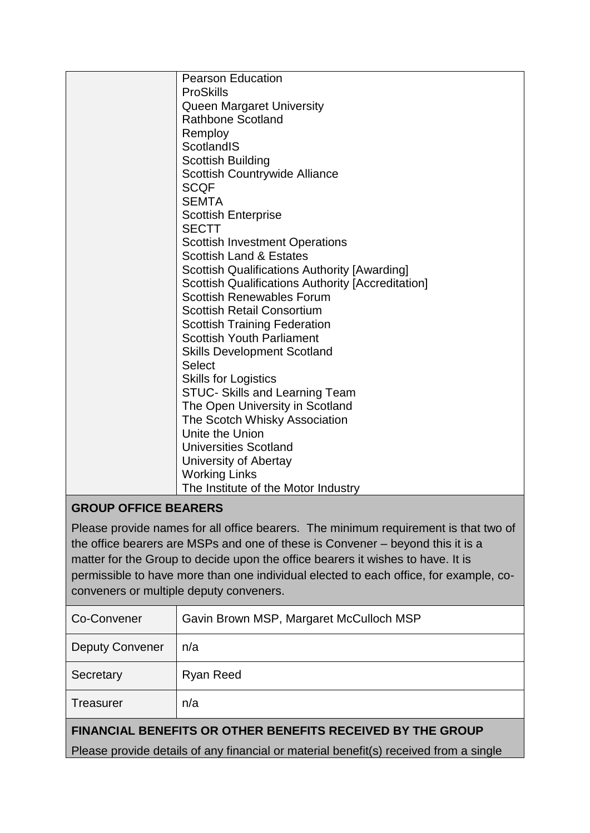|                      | <b>Pearson Education</b>                                 |
|----------------------|----------------------------------------------------------|
|                      | <b>ProSkills</b>                                         |
|                      | <b>Queen Margaret University</b>                         |
|                      | <b>Rathbone Scotland</b>                                 |
|                      | Remploy                                                  |
|                      | ScotlandIS                                               |
|                      | <b>Scottish Building</b>                                 |
|                      | <b>Scottish Countrywide Alliance</b>                     |
|                      | <b>SCQF</b>                                              |
|                      | <b>SEMTA</b>                                             |
|                      | <b>Scottish Enterprise</b>                               |
|                      | <b>SECTT</b>                                             |
|                      | <b>Scottish Investment Operations</b>                    |
|                      | <b>Scottish Land &amp; Estates</b>                       |
|                      | <b>Scottish Qualifications Authority [Awarding]</b>      |
|                      | <b>Scottish Qualifications Authority [Accreditation]</b> |
|                      | <b>Scottish Renewables Forum</b>                         |
|                      | <b>Scottish Retail Consortium</b>                        |
|                      | <b>Scottish Training Federation</b>                      |
|                      | <b>Scottish Youth Parliament</b>                         |
|                      | <b>Skills Development Scotland</b>                       |
|                      | <b>Select</b>                                            |
|                      | <b>Skills for Logistics</b>                              |
|                      | <b>STUC- Skills and Learning Team</b>                    |
|                      | The Open University in Scotland                          |
|                      | The Scotch Whisky Association                            |
|                      | Unite the Union                                          |
|                      | <b>Universities Scotland</b>                             |
|                      | University of Abertay                                    |
|                      | <b>Working Links</b>                                     |
|                      | The Institute of the Motor Industry                      |
| CDOUD OCCICE DEADEDS |                                                          |

## **GROUP OFFICE BEARERS**

Please provide names for all office bearers. The minimum requirement is that two of the office bearers are MSPs and one of these is Convener – beyond this it is a matter for the Group to decide upon the office bearers it wishes to have. It is permissible to have more than one individual elected to each office, for example, coconveners or multiple deputy conveners.

| Co-Convener                                                                           | Gavin Brown MSP, Margaret McCulloch MSP |  |
|---------------------------------------------------------------------------------------|-----------------------------------------|--|
| <b>Deputy Convener</b>                                                                | n/a                                     |  |
| Secretary                                                                             | <b>Ryan Reed</b>                        |  |
| Treasurer                                                                             | n/a                                     |  |
| <b>FINANCIAL BENEFITS OR OTHER BENEFITS RECEIVED BY THE GROUP</b>                     |                                         |  |
| Please provide details of any financial or material benefit(s) received from a single |                                         |  |